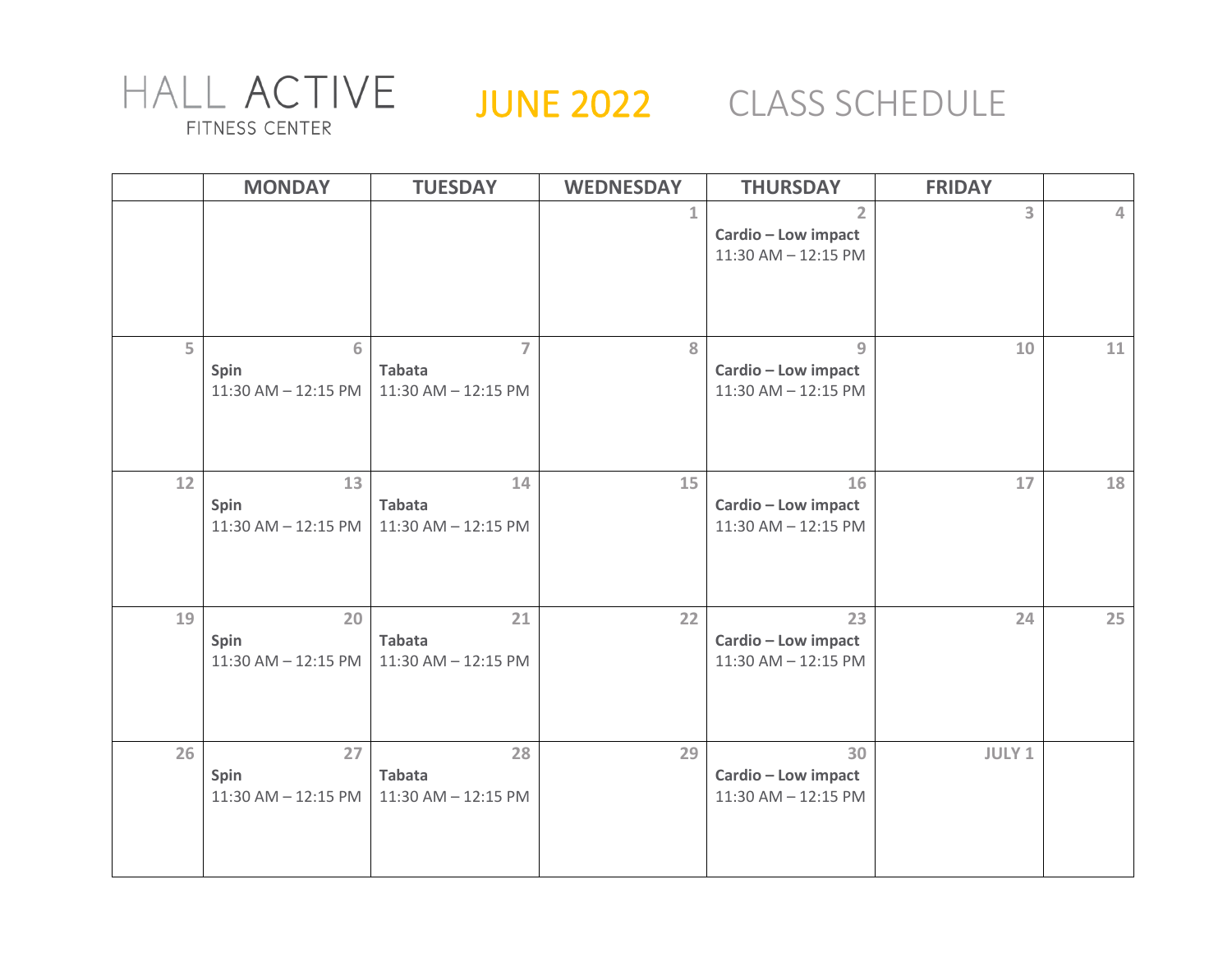

## JUNE 2022 CLASS SCHEDULE

|    | <b>MONDAY</b>                         | <b>TUESDAY</b>                                         | <b>WEDNESDAY</b> | <b>THURSDAY</b>                                              | <b>FRIDAY</b>  |          |
|----|---------------------------------------|--------------------------------------------------------|------------------|--------------------------------------------------------------|----------------|----------|
|    |                                       |                                                        | $\mathbf{1}$     | $\overline{2}$<br>Cardio - Low impact<br>11:30 AM - 12:15 PM | $\overline{3}$ | $\Delta$ |
| 5  | 6<br>Spin<br>$11:30$ AM $- 12:15$ PM  | $\overline{7}$<br><b>Tabata</b><br>11:30 AM - 12:15 PM | 8                | $\overline{9}$<br>Cardio - Low impact<br>11:30 AM - 12:15 PM | 10             | 11       |
| 12 | 13<br>Spin<br>$11:30$ AM $- 12:15$ PM | 14<br><b>Tabata</b><br>11:30 AM - 12:15 PM             | 15               | 16<br>Cardio - Low impact<br>11:30 AM - 12:15 PM             | 17             | 18       |
| 19 | 20<br>Spin<br>$11:30$ AM $- 12:15$ PM | 21<br><b>Tabata</b><br>11:30 AM - 12:15 PM             | 22               | 23<br>Cardio - Low impact<br>11:30 AM - 12:15 PM             | 24             | 25       |
| 26 | 27<br>Spin<br>$11:30$ AM $- 12:15$ PM | 28<br><b>Tabata</b><br>11:30 AM - 12:15 PM             | 29               | 30<br>Cardio - Low impact<br>11:30 AM - 12:15 PM             | JULY 1         |          |